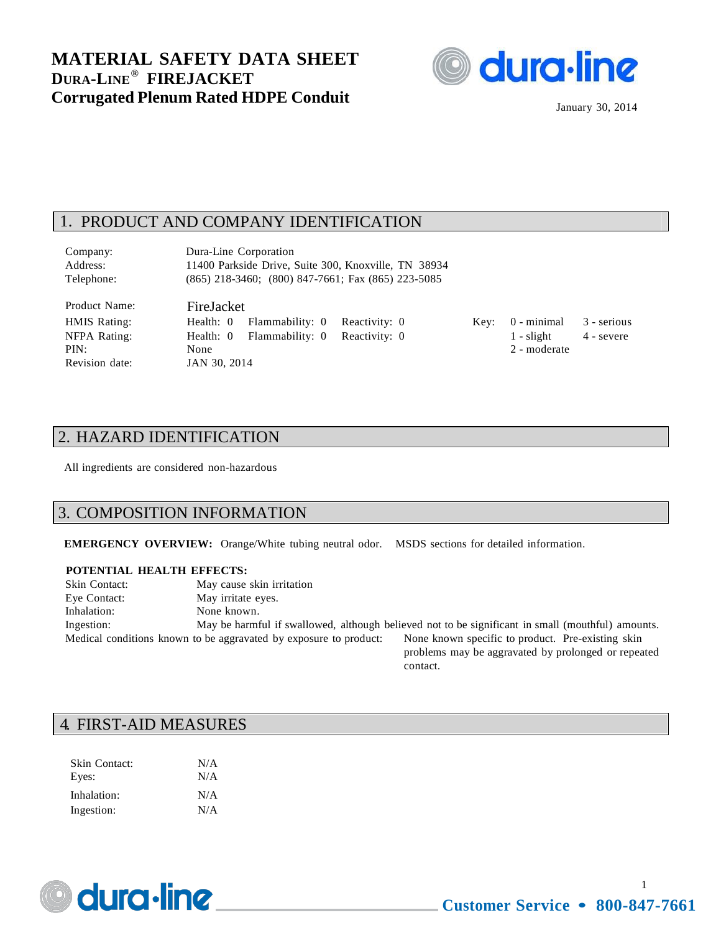

January 30, 2014

# 1. PRODUCT AND COMPANY IDENTIFICATION

Company: Dura-Line Corporation Address: 11400 Parkside Drive, Suite 300, Knoxville, TN 38934 Telephone: (865) 218-3460; (800) 847-7661; Fax (865) 223-5085

Product Name: FireJacket Revision date: JAN 30, 2014

HMIS Rating: Health: 0 Flammability: 0 Reactivity: 0 Key: 0 - minimal 3 - serious NFPA Rating: Health: 0 Flammability: 0 Reactivity: 0 1 - slight 4 - severe PIN: None 2 - moderate

### 2. HAZARD IDENTIFICATION

All ingredients are considered non-hazardous

#### 3. COMPOSITION INFORMATION

**EMERGENCY OVERVIEW:** Orange/White tubing neutral odor. MSDS sections for detailed information.

#### **POTENTIAL HEALTH EFFECTS:**

| Skin Contact: | May cause skin irritation                                         |                                                                                                                                                                                                                                |
|---------------|-------------------------------------------------------------------|--------------------------------------------------------------------------------------------------------------------------------------------------------------------------------------------------------------------------------|
| Eye Contact:  | May irritate eyes.                                                |                                                                                                                                                                                                                                |
| Inhalation:   | None known.                                                       |                                                                                                                                                                                                                                |
| Ingestion:    |                                                                   | May be harmful if swallowed, although believed not to be significant in small (mouthful) amounts.                                                                                                                              |
|               | Medical conditions known to be aggravated by exposure to product: | None known specific to product. Pre-existing skin                                                                                                                                                                              |
|               |                                                                   | the set of the company of the company of the company of the company of the company of the company of the company of the company of the company of the company of the company of the company of the company of the company of t |

problems may be aggravated by prolonged or repeated contact.

### 4. FIRST-AID MEASURES

| Skin Contact:<br>Eyes: | N/A<br>N/A |
|------------------------|------------|
| Inhalation:            | N/A        |
| Ingestion:             | N/A        |



1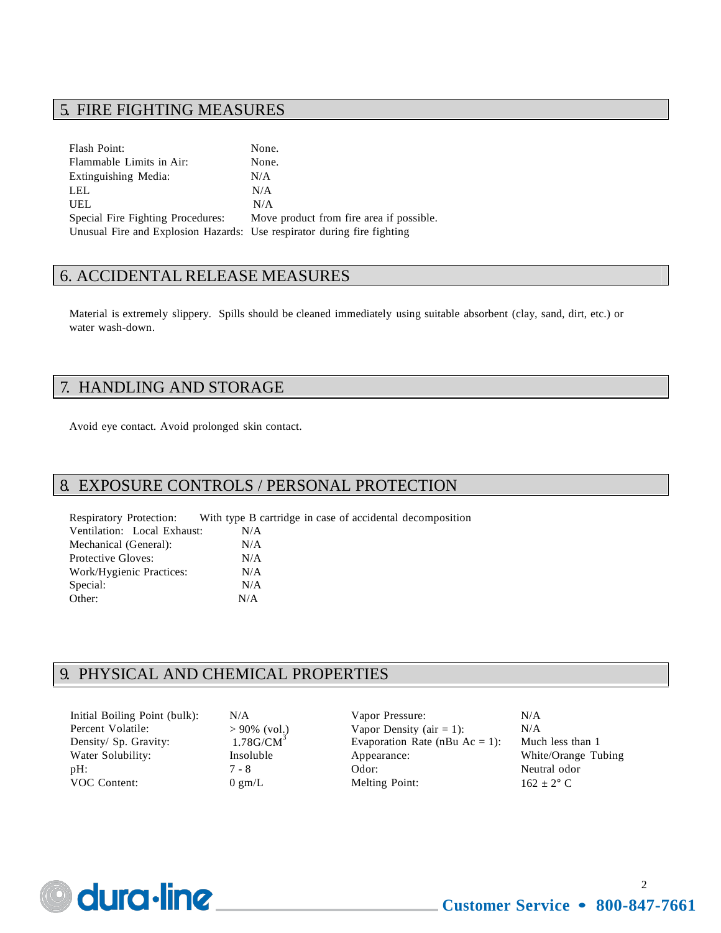# 5. FIRE FIGHTING MEASURES

Flash Point: None. Flammable Limits in Air: None. Extinguishing Media: N/A LEL N/A UEL N/A Special Fire Fighting Procedures: Move product from fire area if possible. Unusual Fire and Explosion Hazards: Use respirator during fire fighting

# 6. ACCIDENTAL RELEASE MEASURES

Material is extremely slippery. Spills should be cleaned immediately using suitable absorbent (clay, sand, dirt, etc.) or water wash-down.

### 7. HANDLING AND STORAGE

Avoid eye contact. Avoid prolonged skin contact.

#### 8. EXPOSURE CONTROLS / PERSONAL PROTECTION

Respiratory Protection: With type B cartridge in case of accidental decomposition Ventilation: Local Exhaust: N/A Mechanical (General): N/A Protective Gloves: N/A Work/Hygienic Practices: N/A Special:  $N/A$ Other: N/A

# 9. PHYSICAL AND CHEMICAL PROPERTIES

| Initial Boiling Point (bulk): | N/A                                     |
|-------------------------------|-----------------------------------------|
| Percent Volatile:             |                                         |
| Density/ Sp. Gravity:         | $>90\%$ (vol.)<br>1.78G/CM <sup>3</sup> |
| Water Solubility:             | Insoluble                               |
| $pH$ :                        | 7 - 8                                   |
| VOC Content:                  | $0 \text{ gm/L}$                        |

N/A  $> 90\%$  (vol.)

Vapor Pressure: Vapor Density ( $air = 1$ ): Evaporation Rate (nBu  $Ac = 1$ ): Much less than 1 Insoluble Appearance: White/Orange Tubing 7 - 8 Odor: Neutral odor 0 gm/L Melting Point:  $162 \pm 2^{\circ}$  C

N/A N/A